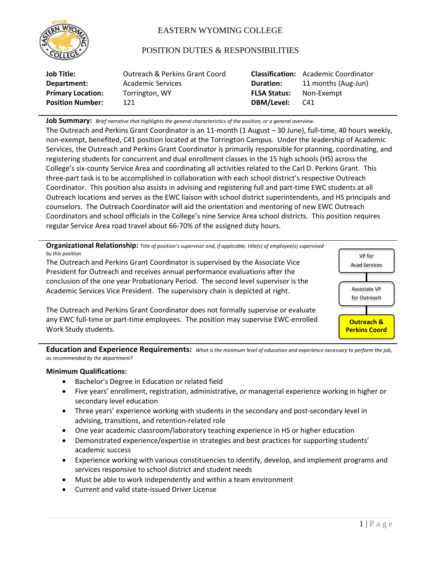

# EASTERN WYOMING COLLEGE

# POSITION DUTIES & RESPONSIBILITIES

| Job Title:               | Outreach & Perkins Grant Coord |                     | <b>Classification:</b> Academic Coordinator |
|--------------------------|--------------------------------|---------------------|---------------------------------------------|
| Department:              | Academic Services              | <b>Duration:</b>    | 11 months (Aug-Jun)                         |
| <b>Primary Location:</b> | Torrington, WY                 | <b>FLSA Status:</b> | Non-Exempt                                  |
| <b>Position Number:</b>  | 121                            | DBM/Level:          | C41                                         |

**Job Summary:** *Brief narrative that highlights the general characteristics of the position, or a general overview.*

The Outreach and Perkins Grant Coordinator is an 11-month (1 August – 30 June), full-time, 40 hours weekly, non-exempt, benefited, C41 position located at the Torrington Campus. Under the leadership of Academic Services, the Outreach and Perkins Grant Coordinator is primarily responsible for planning, coordinating, and registering students for concurrent and dual enrollment classes in the 15 high schools (HS) across the College's six-county Service Area and coordinating all activities related to the Carl D. Perkins Grant. This three-part task is to be accomplished in collaboration with each school district's respective Outreach Coordinator. This position also assists in advising and registering full and part-time EWC students at all Outreach locations and serves as the EWC liaison with school district superintendents, and HS principals and counselors. The Outreach Coordinator will aid the orientation and mentoring of new EWC Outreach Coordinators and school officials in the College's nine Service Area school districts. This position requires regular Service Area road travel about 66-70% of the assigned duty hours.

**Organizational Relationship:** *Title of position's supervisor and, if applicable, title(s) of employee(s) supervised by this position.*

The Outreach and Perkins Grant Coordinator is supervised by the Associate Vice President for Outreach and receives annual performance evaluations after the conclusion of the one year Probationary Period. The second level supervisor is the Academic Services Vice President. The supervisory chain is depicted at right.

The Outreach and Perkins Grant Coordinator does not formally supervise or evaluate any EWC full-time or part-time employees. The position may supervise EWC-enrolled Work Study students.



**Education and Experience Requirements:** *What is the minimum level of education and experience necessary to perform the job, as recommended by the department?*

# **Minimum Qualifications:**

- Bachelor's Degree in Education or related field
- Five years' enrollment, registration, administrative, or managerial experience working in higher or secondary level education
- Three years' experience working with students in the secondary and post-secondary level in advising, transitions, and retention-related role
- One year academic classroom/laboratory teaching experience in HS or higher education
- Demonstrated experience/expertise in strategies and best practices for supporting students' academic success
- Experience working with various constituencies to identify, develop, and implement programs and services responsive to school district and student needs
- Must be able to work independently and within a team environment
- Current and valid state-issued Driver License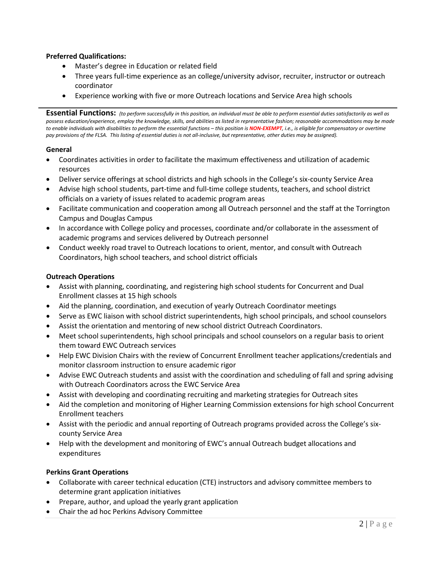# **Preferred Qualifications:**

- Master's degree in Education or related field
- Three years full-time experience as an college/university advisor, recruiter, instructor or outreach coordinator
- Experience working with five or more Outreach locations and Service Area high schools

**Essential Functions:** *(to perform successfully in this position, an individual must be able to perform essential duties satisfactorily as well as possess education/experience, employ the knowledge, skills, and abilities as listed in representative fashion; reasonable accommodations may be made to enable individuals with disabilities to perform the essential functions – this position is NON-EXEMPT, i.e., is eligible for compensatory or overtime pay provisions of the FLSA. This listing of essential duties is not all-inclusive, but representative, other duties may be assigned).*

# **General**

- Coordinates activities in order to facilitate the maximum effectiveness and utilization of academic resources
- Deliver service offerings at school districts and high schools in the College's six-county Service Area
- Advise high school students, part-time and full-time college students, teachers, and school district officials on a variety of issues related to academic program areas
- Facilitate communication and cooperation among all Outreach personnel and the staff at the Torrington Campus and Douglas Campus
- In accordance with College policy and processes, coordinate and/or collaborate in the assessment of academic programs and services delivered by Outreach personnel
- Conduct weekly road travel to Outreach locations to orient, mentor, and consult with Outreach Coordinators, high school teachers, and school district officials

# **Outreach Operations**

- Assist with planning, coordinating, and registering high school students for Concurrent and Dual Enrollment classes at 15 high schools
- Aid the planning, coordination, and execution of yearly Outreach Coordinator meetings
- Serve as EWC liaison with school district superintendents, high school principals, and school counselors
- Assist the orientation and mentoring of new school district Outreach Coordinators.
- Meet school superintendents, high school principals and school counselors on a regular basis to orient them toward EWC Outreach services
- Help EWC Division Chairs with the review of Concurrent Enrollment teacher applications/credentials and monitor classroom instruction to ensure academic rigor
- Advise EWC Outreach students and assist with the coordination and scheduling of fall and spring advising with Outreach Coordinators across the EWC Service Area
- Assist with developing and coordinating recruiting and marketing strategies for Outreach sites
- Aid the completion and monitoring of Higher Learning Commission extensions for high school Concurrent Enrollment teachers
- Assist with the periodic and annual reporting of Outreach programs provided across the College's sixcounty Service Area
- Help with the development and monitoring of EWC's annual Outreach budget allocations and expenditures

# **Perkins Grant Operations**

- Collaborate with career technical education (CTE) instructors and advisory committee members to determine grant application initiatives
- Prepare, author, and upload the yearly grant application
- Chair the ad hoc Perkins Advisory Committee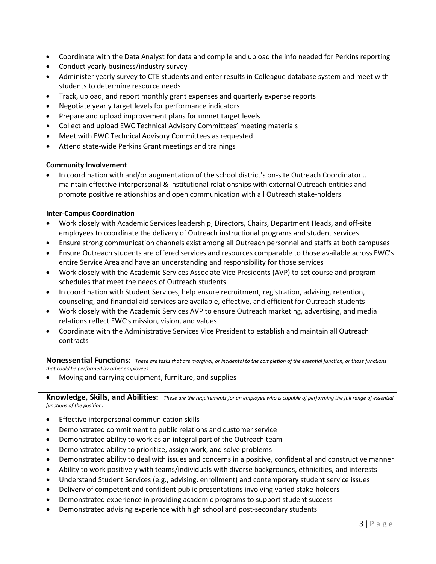- Coordinate with the Data Analyst for data and compile and upload the info needed for Perkins reporting
- Conduct yearly business/industry survey
- Administer yearly survey to CTE students and enter results in Colleague database system and meet with students to determine resource needs
- Track, upload, and report monthly grant expenses and quarterly expense reports
- Negotiate yearly target levels for performance indicators
- Prepare and upload improvement plans for unmet target levels
- Collect and upload EWC Technical Advisory Committees' meeting materials
- Meet with EWC Technical Advisory Committees as requested
- Attend state-wide Perkins Grant meetings and trainings

#### **Community Involvement**

• In coordination with and/or augmentation of the school district's on-site Outreach Coordinator… maintain effective interpersonal & institutional relationships with external Outreach entities and promote positive relationships and open communication with all Outreach stake-holders

#### **Inter-Campus Coordination**

- Work closely with Academic Services leadership, Directors, Chairs, Department Heads, and off-site employees to coordinate the delivery of Outreach instructional programs and student services
- Ensure strong communication channels exist among all Outreach personnel and staffs at both campuses
- Ensure Outreach students are offered services and resources comparable to those available across EWC's entire Service Area and have an understanding and responsibility for those services
- Work closely with the Academic Services Associate Vice Presidents (AVP) to set course and program schedules that meet the needs of Outreach students
- In coordination with Student Services, help ensure recruitment, registration, advising, retention, counseling, and financial aid services are available, effective, and efficient for Outreach students
- Work closely with the Academic Services AVP to ensure Outreach marketing, advertising, and media relations reflect EWC's mission, vision, and values
- Coordinate with the Administrative Services Vice President to establish and maintain all Outreach contracts

**Nonessential Functions:** *These are tasks that are marginal, or incidental to the completion of the essential function, or those functions that could be performed by other employees.*

• Moving and carrying equipment, furniture, and supplies

**Knowledge, Skills, and Abilities:** *These are the requirements for an employee who is capable of performing the full range of essential functions of the position.*

- Effective interpersonal communication skills
- Demonstrated commitment to public relations and customer service
- Demonstrated ability to work as an integral part of the Outreach team
- Demonstrated ability to prioritize, assign work, and solve problems
- Demonstrated ability to deal with issues and concerns in a positive, confidential and constructive manner
- Ability to work positively with teams/individuals with diverse backgrounds, ethnicities, and interests
- Understand Student Services (e.g., advising, enrollment) and contemporary student service issues
- Delivery of competent and confident public presentations involving varied stake-holders
- Demonstrated experience in providing academic programs to support student success
- Demonstrated advising experience with high school and post-secondary students